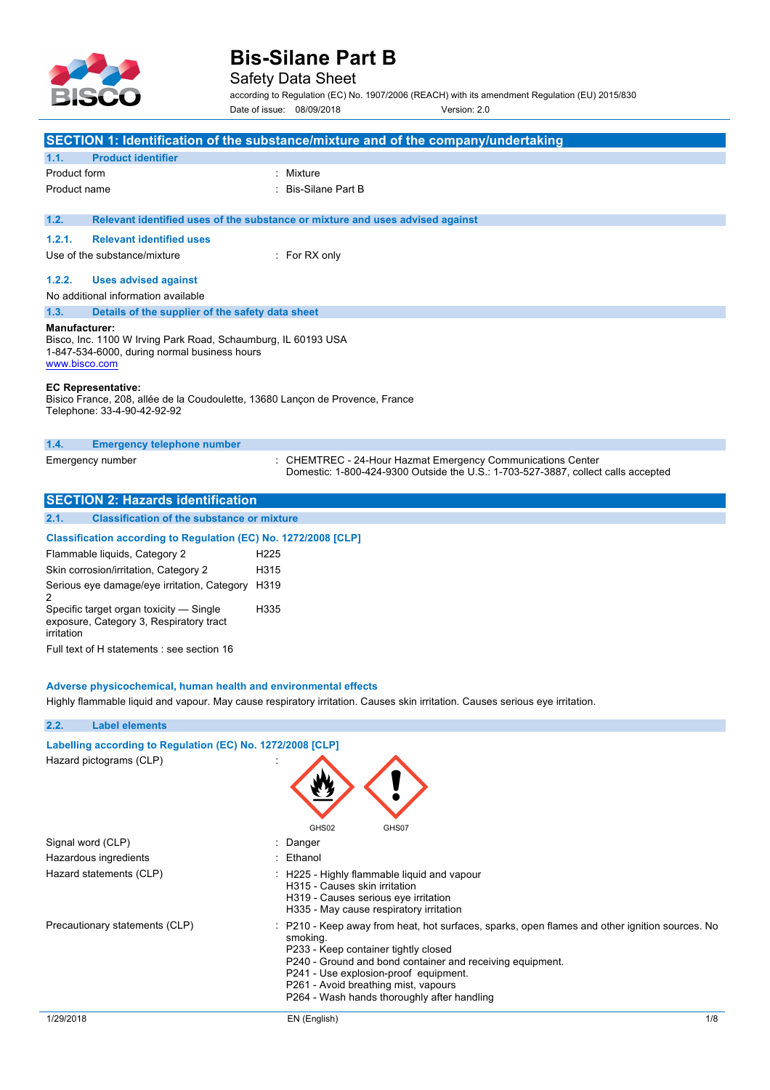

### Safety Data Sheet

according to Regulation (EC) No. 1907/2006 (REACH) with its amendment Regulation (EU) 2015/830 Date of issue: 08/09/2018 Version: 2.0

|                                                                                                                                                 | <b>SECTION 1: Identification of the substance/mixture and of the company/undertaking</b>                                                         |  |
|-------------------------------------------------------------------------------------------------------------------------------------------------|--------------------------------------------------------------------------------------------------------------------------------------------------|--|
| <b>Product identifier</b><br>1.1.                                                                                                               |                                                                                                                                                  |  |
| Product form                                                                                                                                    | : Mixture                                                                                                                                        |  |
| Product name                                                                                                                                    | Bis-Silane Part B                                                                                                                                |  |
|                                                                                                                                                 |                                                                                                                                                  |  |
| 1.2.                                                                                                                                            | Relevant identified uses of the substance or mixture and uses advised against                                                                    |  |
| <b>Relevant identified uses</b><br>1.2.1.                                                                                                       |                                                                                                                                                  |  |
| Use of the substance/mixture                                                                                                                    | $:$ For RX only                                                                                                                                  |  |
| 1.2.2.                                                                                                                                          |                                                                                                                                                  |  |
| <b>Uses advised against</b>                                                                                                                     |                                                                                                                                                  |  |
| No additional information available                                                                                                             |                                                                                                                                                  |  |
| 1.3.<br>Details of the supplier of the safety data sheet                                                                                        |                                                                                                                                                  |  |
| Manufacturer:<br>Bisco, Inc. 1100 W Irving Park Road, Schaumburg, IL 60193 USA<br>1-847-534-6000, during normal business hours<br>www.bisco.com |                                                                                                                                                  |  |
| <b>EC Representative:</b><br>Bisico France, 208, allée de la Coudoulette, 13680 Lancon de Provence, France<br>Telephone: 33-4-90-42-92-92       |                                                                                                                                                  |  |
| <b>Emergency telephone number</b><br>1.4.                                                                                                       |                                                                                                                                                  |  |
| Emergency number                                                                                                                                | : CHEMTREC - 24-Hour Hazmat Emergency Communications Center<br>Domestic: 1-800-424-9300 Outside the U.S.: 1-703-527-3887, collect calls accepted |  |
| <b>SECTION 2: Hazards identification</b>                                                                                                        |                                                                                                                                                  |  |

|      | IULU I IUN 4. HALANGS KICHING ANDH                |
|------|---------------------------------------------------|
|      |                                                   |
| 2.1. | <b>Classification of the substance or mixture</b> |
|      |                                                   |

| Classification according to Regulation (EC) No. 1272/2008 [CLP]                                  |                  |
|--------------------------------------------------------------------------------------------------|------------------|
| Flammable liquids, Category 2                                                                    | H <sub>225</sub> |
| Skin corrosion/irritation, Category 2                                                            | H315             |
| Serious eye damage/eye irritation, Category                                                      | H319             |
| Specific target organ toxicity — Single<br>exposure, Category 3, Respiratory tract<br>irritation | H335             |
| Full text of H statements : see section 16                                                       |                  |

#### **Adverse physicochemical, human health and environmental effects**

Highly flammable liquid and vapour. May cause respiratory irritation. Causes skin irritation. Causes serious eye irritation.

| 2.2.<br><b>Label elements</b>                              |                                                                                                                                                                                                                                                                                                                                                 |
|------------------------------------------------------------|-------------------------------------------------------------------------------------------------------------------------------------------------------------------------------------------------------------------------------------------------------------------------------------------------------------------------------------------------|
| Labelling according to Regulation (EC) No. 1272/2008 [CLP] |                                                                                                                                                                                                                                                                                                                                                 |
| Hazard pictograms (CLP)                                    | GHS02<br>GHS07                                                                                                                                                                                                                                                                                                                                  |
| Signal word (CLP)                                          | : Danger                                                                                                                                                                                                                                                                                                                                        |
| Hazardous ingredients                                      | : Ethanol                                                                                                                                                                                                                                                                                                                                       |
| Hazard statements (CLP)                                    | $\therefore$ H225 - Highly flammable liguid and vapour<br>H315 - Causes skin irritation<br>H319 - Causes serious eye irritation<br>H335 - May cause respiratory irritation                                                                                                                                                                      |
| Precautionary statements (CLP)                             | : P210 - Keep away from heat, hot surfaces, sparks, open flames and other ignition sources. No<br>smoking.<br>P233 - Keep container tightly closed<br>P240 - Ground and bond container and receiving equipment.<br>P241 - Use explosion-proof equipment.<br>P261 - Avoid breathing mist, vapours<br>P264 - Wash hands thoroughly after handling |
| 1/29/2018                                                  | 1/8<br>EN (English)                                                                                                                                                                                                                                                                                                                             |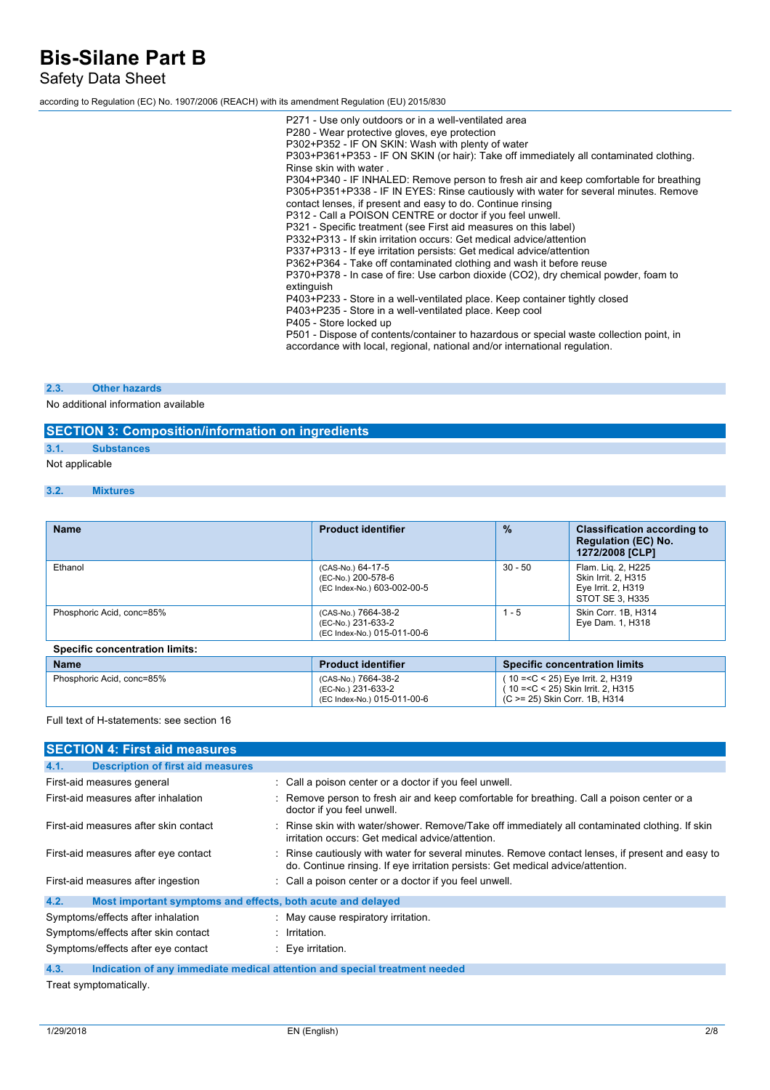Safety Data Sheet

according to Regulation (EC) No. 1907/2006 (REACH) with its amendment Regulation (EU) 2015/830

P271 - Use only outdoors or in a well-ventilated area P280 - Wear protective gloves, eye protection P302+P352 - IF ON SKIN: Wash with plenty of water P303+P361+P353 - IF ON SKIN (or hair): Take off immediately all contaminated clothing. Rinse skin with water . P304+P340 - IF INHALED: Remove person to fresh air and keep comfortable for breathing P305+P351+P338 - IF IN EYES: Rinse cautiously with water for several minutes. Remove contact lenses, if present and easy to do. Continue rinsing P312 - Call a POISON CENTRE or doctor if you feel unwell. P321 - Specific treatment (see First aid measures on this label) P332+P313 - If skin irritation occurs: Get medical advice/attention P337+P313 - If eye irritation persists: Get medical advice/attention P362+P364 - Take off contaminated clothing and wash it before reuse P370+P378 - In case of fire: Use carbon dioxide (CO2), dry chemical powder, foam to extinguish P403+P233 - Store in a well-ventilated place. Keep container tightly closed P403+P235 - Store in a well-ventilated place. Keep cool P405 - Store locked up P501 - Dispose of contents/container to hazardous or special waste collection point, in accordance with local, regional, national and/or international regulation.

#### **2.3. Other hazards**

No additional information available

#### **SECTION 3: Composition/information on ingredients**

**3.1. Substances**

Not applicable

```
3.2. Mixtures
```

| <b>Name</b>                           | <b>Product identifier</b>                                                | $\%$      | <b>Classification according to</b><br><b>Regulation (EC) No.</b><br>1272/2008 [CLP] |
|---------------------------------------|--------------------------------------------------------------------------|-----------|-------------------------------------------------------------------------------------|
| Ethanol                               | (CAS-No.) 64-17-5<br>(EC-No.) 200-578-6<br>(EC Index-No.) 603-002-00-5   | $30 - 50$ | Flam. Lig. 2, H225<br>Skin Irrit. 2, H315<br>Eye Irrit. 2, H319<br>STOT SE 3. H335  |
| Phosphoric Acid, conc=85%             | (CAS-No.) 7664-38-2<br>(EC-No.) 231-633-2<br>(EC Index-No.) 015-011-00-6 | $1 - 5$   | Skin Corr. 1B, H314<br>Eye Dam. 1, H318                                             |
| <b>Specific concentration limits:</b> |                                                                          |           |                                                                                     |

| <b>Name</b>               | <b>Product identifier</b>                                                | <b>Specific concentration limits</b>                                                                                                                         |
|---------------------------|--------------------------------------------------------------------------|--------------------------------------------------------------------------------------------------------------------------------------------------------------|
| Phosphoric Acid. conc=85% | (CAS-No.) 7664-38-2<br>(EC-No.) 231-633-2<br>(EC Index-No.) 015-011-00-6 | ( 10 = <c 2,="" 25)="" <="" eye="" h319<br="" irrit.="">(10 = &lt; C &lt; 25) Skin Irrit. 2, H315<br/><math>\sim</math> (C &gt;= 25) Skin Corr, 1B, H314</c> |

Full text of H-statements: see section 16

| <b>SECTION 4: First aid measures</b>                                |                                                                                                                                                                                     |
|---------------------------------------------------------------------|-------------------------------------------------------------------------------------------------------------------------------------------------------------------------------------|
| <b>Description of first aid measures</b><br>4.1.                    |                                                                                                                                                                                     |
| First-aid measures general                                          | : Call a poison center or a doctor if you feel unwell.                                                                                                                              |
| First-aid measures after inhalation                                 | : Remove person to fresh air and keep comfortable for breathing. Call a poison center or a<br>doctor if you feel unwell.                                                            |
| First-aid measures after skin contact                               | : Rinse skin with water/shower. Remove/Take off immediately all contaminated clothing. If skin<br>irritation occurs: Get medical advice/attention.                                  |
| First-aid measures after eye contact                                | : Rinse cautiously with water for several minutes. Remove contact lenses, if present and easy to<br>do. Continue rinsing. If eye irritation persists: Get medical advice/attention. |
| First-aid measures after ingestion                                  | : Call a poison center or a doctor if you feel unwell.                                                                                                                              |
| Most important symptoms and effects, both acute and delayed<br>4.2. |                                                                                                                                                                                     |
| Symptoms/effects after inhalation                                   | : May cause respiratory irritation.                                                                                                                                                 |
| Symptoms/effects after skin contact                                 | $:$ Irritation.                                                                                                                                                                     |
| Symptoms/effects after eye contact                                  | $\therefore$ Eve irritation.                                                                                                                                                        |
| 4.3.                                                                | Indication of any immediate medical attention and special treatment needed                                                                                                          |

Treat symptomatically.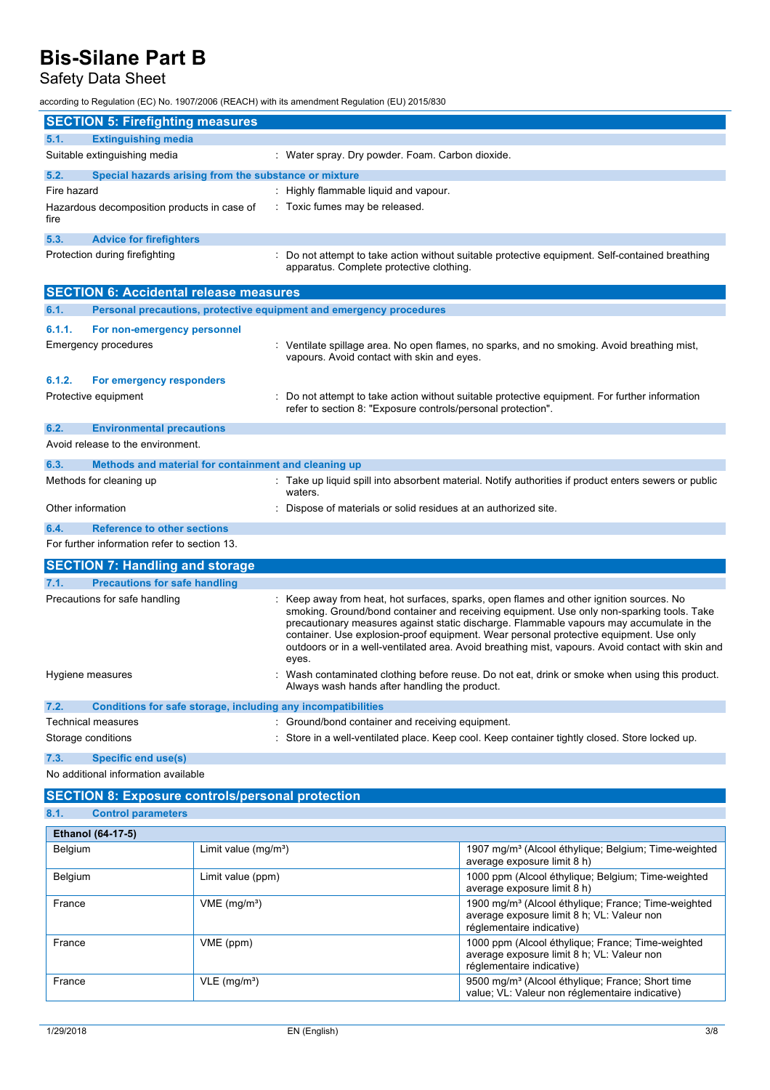## Safety Data Sheet

according to Regulation (EC) No. 1907/2006 (REACH) with its amendment Regulation (EU) 2015/830

|                   | <b>SECTION 5: Firefighting measures</b>                             |  |                                                                                                                                                                                                                                                                                                                                                                                                                                                                                        |  |
|-------------------|---------------------------------------------------------------------|--|----------------------------------------------------------------------------------------------------------------------------------------------------------------------------------------------------------------------------------------------------------------------------------------------------------------------------------------------------------------------------------------------------------------------------------------------------------------------------------------|--|
| 5.1.              | <b>Extinguishing media</b>                                          |  |                                                                                                                                                                                                                                                                                                                                                                                                                                                                                        |  |
|                   | Suitable extinguishing media                                        |  | : Water spray. Dry powder. Foam. Carbon dioxide.                                                                                                                                                                                                                                                                                                                                                                                                                                       |  |
| 5.2.              | Special hazards arising from the substance or mixture               |  |                                                                                                                                                                                                                                                                                                                                                                                                                                                                                        |  |
| Fire hazard       |                                                                     |  | Highly flammable liquid and vapour.                                                                                                                                                                                                                                                                                                                                                                                                                                                    |  |
| fire              | Hazardous decomposition products in case of                         |  | : Toxic fumes may be released.                                                                                                                                                                                                                                                                                                                                                                                                                                                         |  |
| 5.3.              | <b>Advice for firefighters</b>                                      |  |                                                                                                                                                                                                                                                                                                                                                                                                                                                                                        |  |
|                   | Protection during firefighting                                      |  | Do not attempt to take action without suitable protective equipment. Self-contained breathing<br>apparatus. Complete protective clothing.                                                                                                                                                                                                                                                                                                                                              |  |
|                   | <b>SECTION 6: Accidental release measures</b>                       |  |                                                                                                                                                                                                                                                                                                                                                                                                                                                                                        |  |
| 6.1.              | Personal precautions, protective equipment and emergency procedures |  |                                                                                                                                                                                                                                                                                                                                                                                                                                                                                        |  |
| 6.1.1.            | For non-emergency personnel                                         |  |                                                                                                                                                                                                                                                                                                                                                                                                                                                                                        |  |
|                   | <b>Emergency procedures</b>                                         |  | : Ventilate spillage area. No open flames, no sparks, and no smoking. Avoid breathing mist,<br>vapours. Avoid contact with skin and eyes.                                                                                                                                                                                                                                                                                                                                              |  |
| 6.1.2.            | For emergency responders                                            |  |                                                                                                                                                                                                                                                                                                                                                                                                                                                                                        |  |
|                   | Protective equipment                                                |  | Do not attempt to take action without suitable protective equipment. For further information<br>refer to section 8: "Exposure controls/personal protection".                                                                                                                                                                                                                                                                                                                           |  |
| 6.2.              | <b>Environmental precautions</b>                                    |  |                                                                                                                                                                                                                                                                                                                                                                                                                                                                                        |  |
|                   | Avoid release to the environment.                                   |  |                                                                                                                                                                                                                                                                                                                                                                                                                                                                                        |  |
| 6.3.              | Methods and material for containment and cleaning up                |  |                                                                                                                                                                                                                                                                                                                                                                                                                                                                                        |  |
|                   | Methods for cleaning up                                             |  | Take up liquid spill into absorbent material. Notify authorities if product enters sewers or public<br>waters.                                                                                                                                                                                                                                                                                                                                                                         |  |
| Other information |                                                                     |  | Dispose of materials or solid residues at an authorized site.                                                                                                                                                                                                                                                                                                                                                                                                                          |  |
| 6.4.              | <b>Reference to other sections</b>                                  |  |                                                                                                                                                                                                                                                                                                                                                                                                                                                                                        |  |
|                   | For further information refer to section 13.                        |  |                                                                                                                                                                                                                                                                                                                                                                                                                                                                                        |  |
|                   | <b>SECTION 7: Handling and storage</b>                              |  |                                                                                                                                                                                                                                                                                                                                                                                                                                                                                        |  |
| 7.1.              | <b>Precautions for safe handling</b>                                |  |                                                                                                                                                                                                                                                                                                                                                                                                                                                                                        |  |
|                   | Precautions for safe handling                                       |  | Keep away from heat, hot surfaces, sparks, open flames and other ignition sources. No<br>smoking. Ground/bond container and receiving equipment. Use only non-sparking tools. Take<br>precautionary measures against static discharge. Flammable vapours may accumulate in the<br>container. Use explosion-proof equipment. Wear personal protective equipment. Use only<br>outdoors or in a well-ventilated area. Avoid breathing mist, vapours. Avoid contact with skin and<br>eyes. |  |
|                   | Hygiene measures                                                    |  | Wash contaminated clothing before reuse. Do not eat, drink or smoke when using this product.<br>Always wash hands after handling the product.                                                                                                                                                                                                                                                                                                                                          |  |
| 7.2.              | Conditions for safe storage, including any incompatibilities        |  |                                                                                                                                                                                                                                                                                                                                                                                                                                                                                        |  |
|                   | <b>Technical measures</b>                                           |  | : Ground/bond container and receiving equipment.                                                                                                                                                                                                                                                                                                                                                                                                                                       |  |
|                   | Storage conditions                                                  |  | : Store in a well-ventilated place. Keep cool. Keep container tightly closed. Store locked up.                                                                                                                                                                                                                                                                                                                                                                                         |  |
| 7.3.              | <b>Specific end use(s)</b>                                          |  |                                                                                                                                                                                                                                                                                                                                                                                                                                                                                        |  |
|                   | No additional information available                                 |  |                                                                                                                                                                                                                                                                                                                                                                                                                                                                                        |  |

**SECTION 8: Exposure controls/personal protection**

| 8.1. | <b>Control parameters</b> |
|------|---------------------------|
|      |                           |

| <b>Ethanol (64-17-5)</b> |                            |                                                                                                                                            |
|--------------------------|----------------------------|--------------------------------------------------------------------------------------------------------------------------------------------|
| Belgium                  | Limit value $(mg/m3)$      | 1907 mg/m <sup>3</sup> (Alcool éthylique; Belgium; Time-weighted<br>average exposure limit 8 h)                                            |
| Belgium                  | Limit value (ppm)          | 1000 ppm (Alcool éthylique; Belgium; Time-weighted<br>average exposure limit 8 h)                                                          |
| France                   | VME (mg/m <sup>3</sup> )   | 1900 mg/m <sup>3</sup> (Alcool éthylique; France; Time-weighted<br>average exposure limit 8 h; VL: Valeur non<br>réglementaire indicative) |
| France                   | VME (ppm)                  | 1000 ppm (Alcool éthylique; France; Time-weighted<br>average exposure limit 8 h; VL: Valeur non<br>réglementaire indicative)               |
| France                   | $VLE$ (mg/m <sup>3</sup> ) | 9500 mg/m <sup>3</sup> (Alcool éthylique; France; Short time<br>value; VL: Valeur non réglementaire indicative)                            |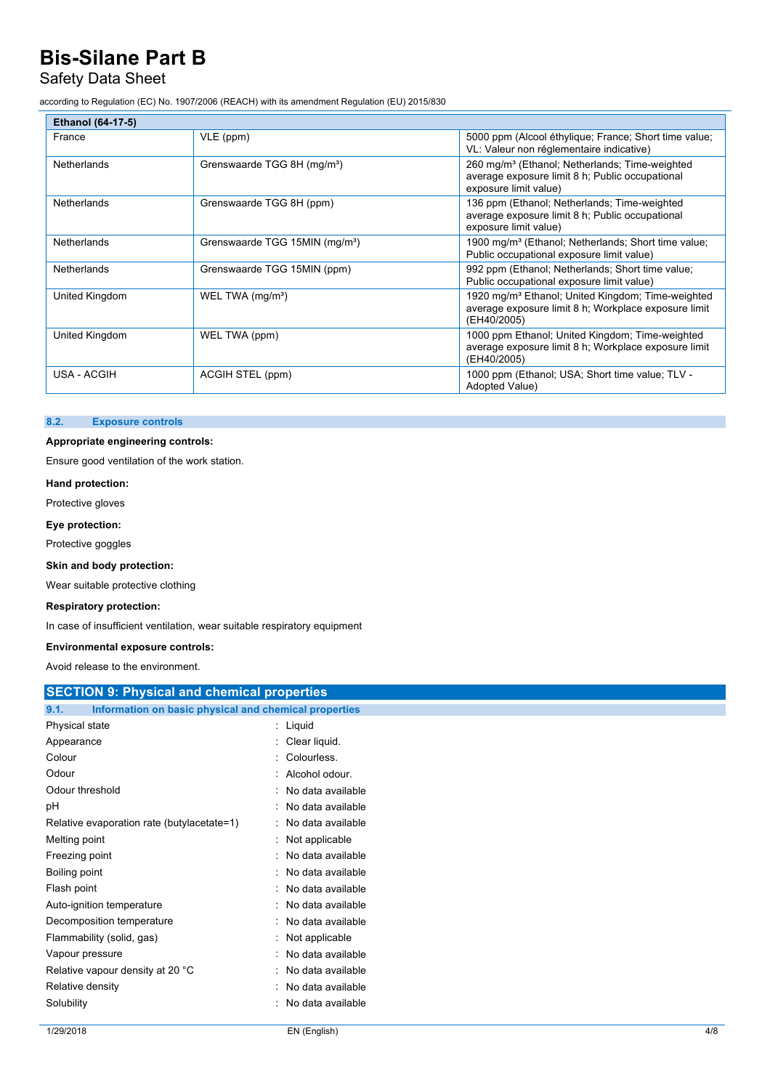### Safety Data Sheet

according to Regulation (EC) No. 1907/2006 (REACH) with its amendment Regulation (EU) 2015/830

| <b>Ethanol (64-17-5)</b> |                                            |                                                                                                                                        |
|--------------------------|--------------------------------------------|----------------------------------------------------------------------------------------------------------------------------------------|
| France                   | VLE (ppm)                                  | 5000 ppm (Alcool éthylique; France; Short time value;<br>VL: Valeur non réglementaire indicative)                                      |
| <b>Netherlands</b>       | Grenswaarde TGG 8H (mg/m <sup>3</sup> )    | 260 mg/m <sup>3</sup> (Ethanol; Netherlands; Time-weighted<br>average exposure limit 8 h; Public occupational<br>exposure limit value) |
| <b>Netherlands</b>       | Grenswaarde TGG 8H (ppm)                   | 136 ppm (Ethanol; Netherlands; Time-weighted<br>average exposure limit 8 h; Public occupational<br>exposure limit value)               |
| Netherlands              | Grenswaarde TGG 15MIN (mg/m <sup>3</sup> ) | 1900 mg/m <sup>3</sup> (Ethanol; Netherlands; Short time value;<br>Public occupational exposure limit value)                           |
| Netherlands              | Grenswaarde TGG 15MIN (ppm)                | 992 ppm (Ethanol; Netherlands; Short time value;<br>Public occupational exposure limit value)                                          |
| United Kingdom           | WEL TWA (mg/m <sup>3</sup> )               | 1920 mg/m <sup>3</sup> Ethanol; United Kingdom; Time-weighted<br>average exposure limit 8 h; Workplace exposure limit<br>(EH40/2005)   |
| United Kingdom           | WEL TWA (ppm)                              | 1000 ppm Ethanol; United Kingdom; Time-weighted<br>average exposure limit 8 h; Workplace exposure limit<br>(EH40/2005)                 |
| USA - ACGIH              | ACGIH STEL (ppm)                           | 1000 ppm (Ethanol; USA; Short time value; TLV -<br>Adopted Value)                                                                      |

#### **8.2. Exposure controls**

#### **Appropriate engineering controls:**

Ensure good ventilation of the work station.

#### **Hand protection:**

Protective gloves

#### **Eye protection:**

Protective goggles

#### **Skin and body protection:**

Wear suitable protective clothing

#### **Respiratory protection:**

In case of insufficient ventilation, wear suitable respiratory equipment

#### **Environmental exposure controls:**

Avoid release to the environment.

| AVOID TEIERSE TO THE EITVILOITHEIT.                           |                     |  |  |
|---------------------------------------------------------------|---------------------|--|--|
| <b>SECTION 9: Physical and chemical properties</b>            |                     |  |  |
| Information on basic physical and chemical properties<br>9.1. |                     |  |  |
| Physical state                                                | : Liquid            |  |  |
| Appearance                                                    | : Clear liquid.     |  |  |
| Colour                                                        | Colourless.         |  |  |
| Odour                                                         | Alcohol odour.      |  |  |
| Odour threshold                                               | No data available   |  |  |
| рH                                                            | No data available   |  |  |
| Relative evaporation rate (butylacetate=1)                    | : No data available |  |  |
| Melting point                                                 | Not applicable      |  |  |
| Freezing point                                                | : No data available |  |  |
| Boiling point                                                 | : No data available |  |  |
| Flash point                                                   | No data available   |  |  |
| Auto-ignition temperature                                     | No data available   |  |  |
| Decomposition temperature                                     | No data available   |  |  |
| Flammability (solid, gas)                                     | : Not applicable    |  |  |
| Vapour pressure                                               | No data available   |  |  |
| Relative vapour density at 20 °C                              | : No data available |  |  |
| Relative density                                              | No data available   |  |  |
| Solubility                                                    | No data available   |  |  |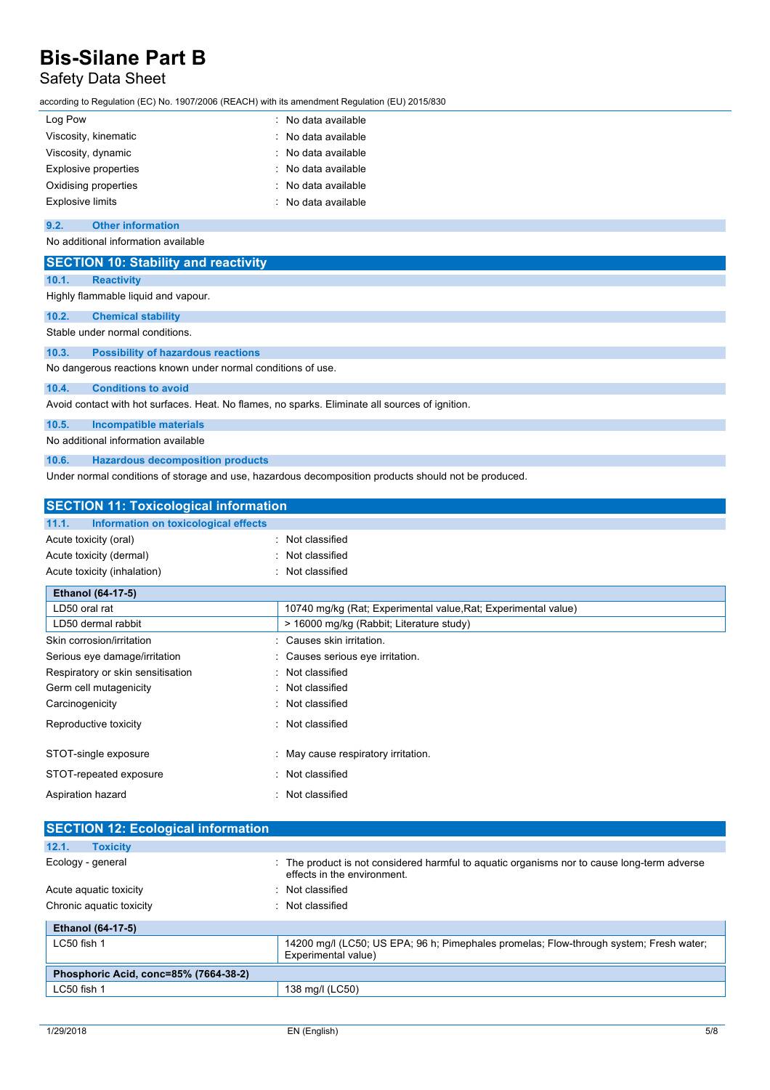## Safety Data Sheet

according to Regulation (EC) No. 1907/2006 (REACH) with its amendment Regulation (EU) 2015/830

| Log Pow                     | : No data available |
|-----------------------------|---------------------|
| Viscosity, kinematic        | : No data available |
| Viscosity, dynamic          | : No data available |
| <b>Explosive properties</b> | : No data available |
| Oxidising properties        | : No data available |
| <b>Explosive limits</b>     | : No data available |

#### **9.2. Other information**

No additional information available

| <b>SECTION 10: Stability and reactivity</b>                                                     |  |
|-------------------------------------------------------------------------------------------------|--|
| 10.1.<br><b>Reactivity</b>                                                                      |  |
| Highly flammable liquid and vapour.                                                             |  |
| 10.2.<br><b>Chemical stability</b>                                                              |  |
| Stable under normal conditions.                                                                 |  |
| 10.3.<br><b>Possibility of hazardous reactions</b>                                              |  |
| No dangerous reactions known under normal conditions of use.                                    |  |
| <b>Conditions to avoid</b><br>10.4.                                                             |  |
| Avoid contact with hot surfaces. Heat. No flames, no sparks. Eliminate all sources of ignition. |  |
| 10.5.<br><b>Incompatible materials</b>                                                          |  |
| No additional information available                                                             |  |

**10.6. Hazardous decomposition products**

Under normal conditions of storage and use, hazardous decomposition products should not be produced.

| <b>SECTION 11: Toxicological information</b>  |                                                                |
|-----------------------------------------------|----------------------------------------------------------------|
| 11.1.<br>Information on toxicological effects |                                                                |
| Acute toxicity (oral)                         | : Not classified                                               |
| Acute toxicity (dermal)                       | : Not classified                                               |
| Acute toxicity (inhalation)                   | : Not classified                                               |
| <b>Ethanol (64-17-5)</b>                      |                                                                |
| LD50 oral rat                                 | 10740 mg/kg (Rat; Experimental value, Rat; Experimental value) |
| LD50 dermal rabbit                            | > 16000 mg/kg (Rabbit; Literature study)                       |
| Skin corrosion/irritation                     | : Causes skin irritation.                                      |
| Serious eye damage/irritation                 | : Causes serious eye irritation.                               |
| Respiratory or skin sensitisation             | : Not classified                                               |
| Germ cell mutagenicity                        | : Not classified                                               |
| Carcinogenicity                               | : Not classified                                               |
| Reproductive toxicity                         | : Not classified                                               |
| STOT-single exposure                          | : May cause respiratory irritation.                            |
| STOT-repeated exposure                        | : Not classified                                               |
| Aspiration hazard                             | : Not classified                                               |
|                                               |                                                                |

| <b>SECTION 12: Ecological information</b> |                                                                                                                            |
|-------------------------------------------|----------------------------------------------------------------------------------------------------------------------------|
| 12.1.<br><b>Toxicity</b>                  |                                                                                                                            |
| Ecology - general                         | : The product is not considered harmful to aquatic organisms nor to cause long-term adverse<br>effects in the environment. |
| Acute aguatic toxicity                    | : Not classified                                                                                                           |
| Chronic aquatic toxicity                  | : Not classified                                                                                                           |
| <b>Ethanol (64-17-5)</b>                  |                                                                                                                            |
| $LC50$ fish 1                             | 14200 mg/l (LC50; US EPA; 96 h; Pimephales promelas; Flow-through system; Fresh water;<br>Experimental value)              |
| Phosphoric Acid, conc=85% (7664-38-2)     |                                                                                                                            |
| LC50 fish 1                               | 138 mg/l (LC50)                                                                                                            |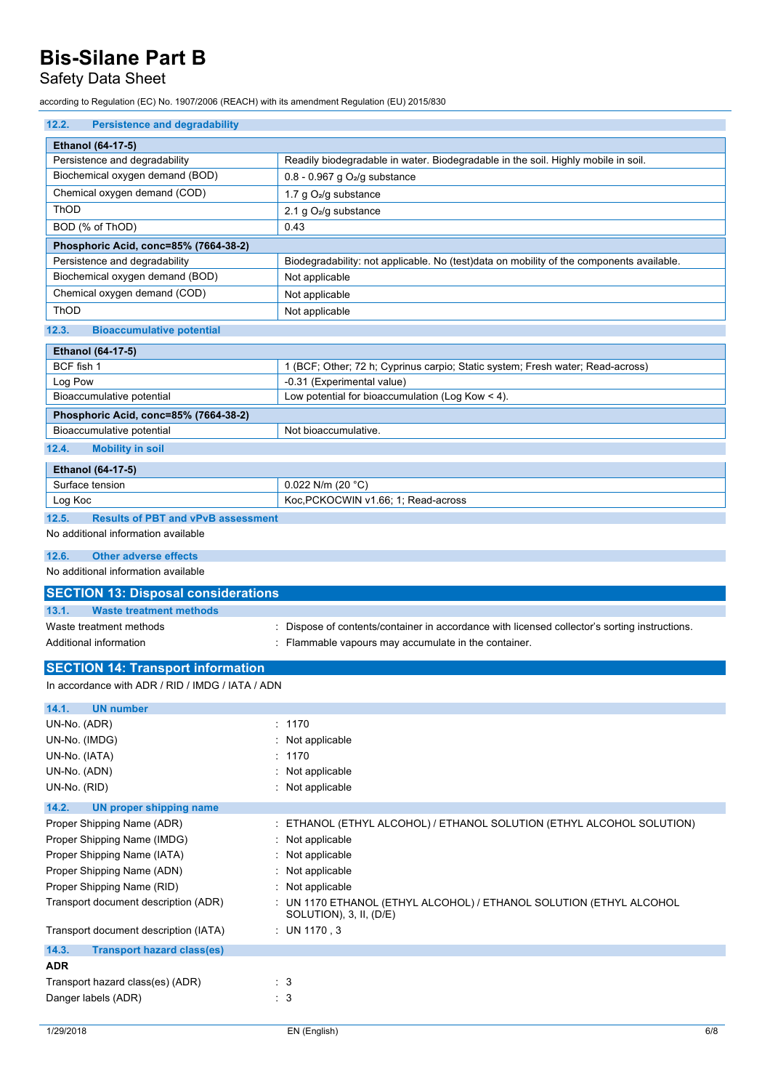## Safety Data Sheet

according to Regulation (EC) No. 1907/2006 (REACH) with its amendment Regulation (EU) 2015/830

| 12.2.<br><b>Persistence and degradability</b>           |                                                                                                |
|---------------------------------------------------------|------------------------------------------------------------------------------------------------|
| Ethanol (64-17-5)                                       |                                                                                                |
| Persistence and degradability                           | Readily biodegradable in water. Biodegradable in the soil. Highly mobile in soil.              |
| Biochemical oxygen demand (BOD)                         | 0.8 - 0.967 g $O2/g$ substance                                                                 |
| Chemical oxygen demand (COD)                            | 1.7 g O <sub>2</sub> /g substance                                                              |
| ThOD                                                    | 2.1 g O <sub>2</sub> /g substance                                                              |
| BOD (% of ThOD)                                         | 0.43                                                                                           |
| Phosphoric Acid, conc=85% (7664-38-2)                   |                                                                                                |
| Persistence and degradability                           | Biodegradability: not applicable. No (test)data on mobility of the components available.       |
| Biochemical oxygen demand (BOD)                         | Not applicable                                                                                 |
| Chemical oxygen demand (COD)                            | Not applicable                                                                                 |
| ThOD                                                    | Not applicable                                                                                 |
| 12.3.<br><b>Bioaccumulative potential</b>               |                                                                                                |
| Ethanol (64-17-5)                                       |                                                                                                |
| BCF fish 1                                              | 1 (BCF; Other; 72 h; Cyprinus carpio; Static system; Fresh water; Read-across)                 |
| Log Pow                                                 | -0.31 (Experimental value)                                                                     |
| Bioaccumulative potential                               | Low potential for bioaccumulation (Log Kow $\leq$ 4).                                          |
| Phosphoric Acid, conc=85% (7664-38-2)                   |                                                                                                |
| Bioaccumulative potential                               | Not bioaccumulative.                                                                           |
| 12.4.<br><b>Mobility in soil</b>                        |                                                                                                |
|                                                         |                                                                                                |
| Ethanol (64-17-5)                                       |                                                                                                |
| Surface tension                                         | 0.022 N/m (20 $°C$ )                                                                           |
| Log Koc                                                 | Koc, PCKOCWIN v1.66; 1; Read-across                                                            |
| 12.5.<br><b>Results of PBT and vPvB assessment</b>      |                                                                                                |
| No additional information available                     |                                                                                                |
| 12.6.<br><b>Other adverse effects</b>                   |                                                                                                |
|                                                         |                                                                                                |
| No additional information available                     |                                                                                                |
| <b>SECTION 13: Disposal considerations</b>              |                                                                                                |
| 13.1.<br><b>Waste treatment methods</b>                 |                                                                                                |
| Waste treatment methods                                 | Dispose of contents/container in accordance with licensed collector's sorting instructions.    |
| Additional information                                  | Flammable vapours may accumulate in the container.                                             |
|                                                         |                                                                                                |
| <b>SECTION 14: Transport information</b>                |                                                                                                |
| In accordance with ADR / RID / IMDG / IATA / ADN        |                                                                                                |
| 14.1.<br><b>UN number</b>                               |                                                                                                |
| UN-No. (ADR)                                            | 1170                                                                                           |
| UN-No. (IMDG)                                           | Not applicable                                                                                 |
| UN-No. (IATA)                                           | 1170                                                                                           |
| UN-No. (ADN)                                            | Not applicable                                                                                 |
| UN-No. (RID)                                            | Not applicable                                                                                 |
| 14.2.<br><b>UN proper shipping name</b>                 |                                                                                                |
| Proper Shipping Name (ADR)                              | ETHANOL (ETHYL ALCOHOL) / ETHANOL SOLUTION (ETHYL ALCOHOL SOLUTION)                            |
| Proper Shipping Name (IMDG)                             | Not applicable                                                                                 |
| Proper Shipping Name (IATA)                             | Not applicable                                                                                 |
| Proper Shipping Name (ADN)                              | Not applicable                                                                                 |
| Proper Shipping Name (RID)                              | Not applicable                                                                                 |
| Transport document description (ADR)                    | : UN 1170 ETHANOL (ETHYL ALCOHOL) / ETHANOL SOLUTION (ETHYL ALCOHOL<br>SOLUTION), 3, II, (D/E) |
| Transport document description (IATA)                   | : UN 1170, 3                                                                                   |
| 14.3.<br><b>Transport hazard class(es)</b>              |                                                                                                |
| <b>ADR</b>                                              |                                                                                                |
| Transport hazard class(es) (ADR)<br>Danger labels (ADR) | $\therefore$ 3<br>: 3                                                                          |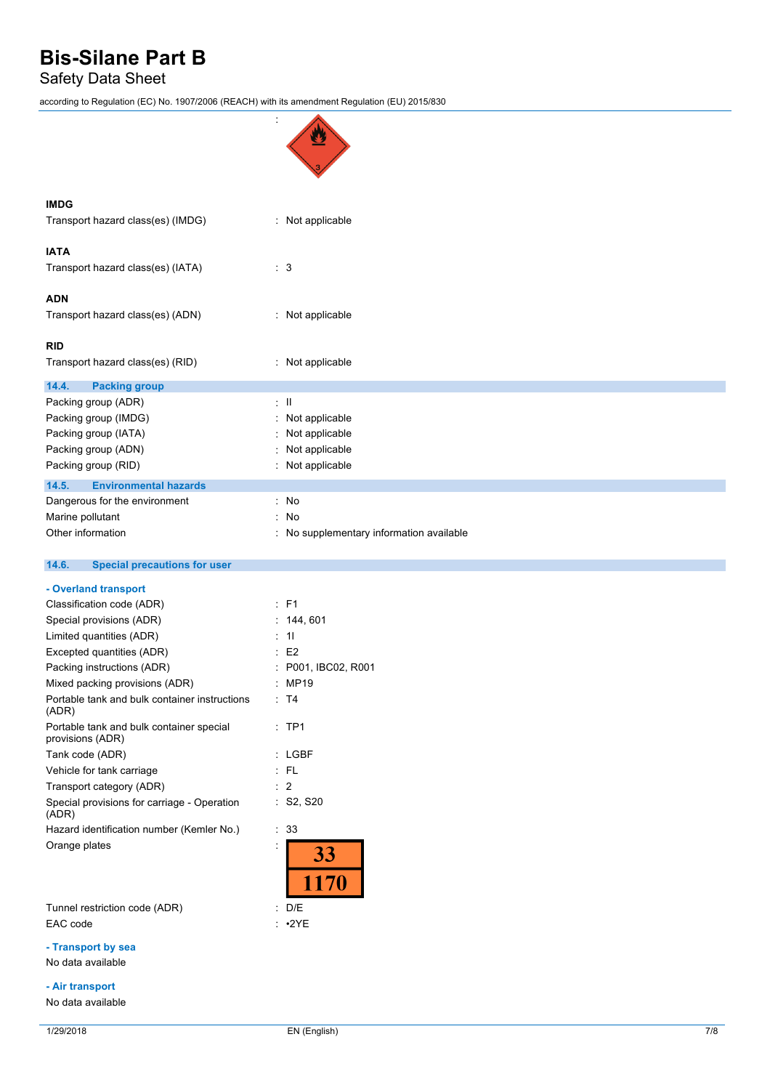Safety Data Sheet

according to Regulation (EC) No. 1907/2006 (REACH) with its amendment Regulation (EU) 2015/830

| <b>IMDG</b>                                                  |                                          |
|--------------------------------------------------------------|------------------------------------------|
| Transport hazard class(es) (IMDG)                            | : Not applicable                         |
| <b>IATA</b>                                                  |                                          |
| Transport hazard class(es) (IATA)                            | : 3                                      |
| <b>ADN</b>                                                   |                                          |
| Transport hazard class(es) (ADN)                             | : Not applicable                         |
| <b>RID</b>                                                   |                                          |
| Transport hazard class(es) (RID)                             | : Not applicable                         |
| 14.4.<br><b>Packing group</b>                                |                                          |
| Packing group (ADR)                                          | $\therefore$ $\parallel$                 |
| Packing group (IMDG)                                         | Not applicable                           |
| Packing group (IATA)                                         | Not applicable                           |
| Packing group (ADN)                                          | Not applicable                           |
| Packing group (RID)                                          | Not applicable                           |
| 14.5.<br><b>Environmental hazards</b>                        |                                          |
| Dangerous for the environment                                | : No                                     |
| Marine pollutant                                             | t.<br>No                                 |
| Other information                                            | : No supplementary information available |
| 14.6.<br><b>Special precautions for user</b>                 |                                          |
| - Overland transport                                         |                                          |
| Classification code (ADR)                                    |                                          |
|                                                              | $:$ F1                                   |
| Special provisions (ADR)                                     | : 144, 601                               |
| Limited quantities (ADR)                                     | : 11                                     |
| Excepted quantities (ADR)                                    | E <sub>2</sub>                           |
| Packing instructions (ADR)                                   | P001, IBC02, R001                        |
| Mixed packing provisions (ADR)                               | MP19                                     |
| Portable tank and bulk container instructions<br>(ADR)       | $\therefore$ T4                          |
| Portable tank and bulk container special<br>provisions (ADR) | :TP1                                     |
| Tank code (ADR)                                              | : LGBF                                   |
| Vehicle for tank carriage                                    | $:$ FL                                   |
| Transport category (ADR)                                     | : 2                                      |
| Special provisions for carriage - Operation<br>(ADR)         | : S2, S20                                |
| Hazard identification number (Kemler No.)                    | : 33                                     |
| Orange plates                                                | 33                                       |
|                                                              | 1170                                     |
| Tunnel restriction code (ADR)                                | : D/E                                    |
| EAC code                                                     | $: \cdot2YE$                             |

#### **- Air transport**

No data available